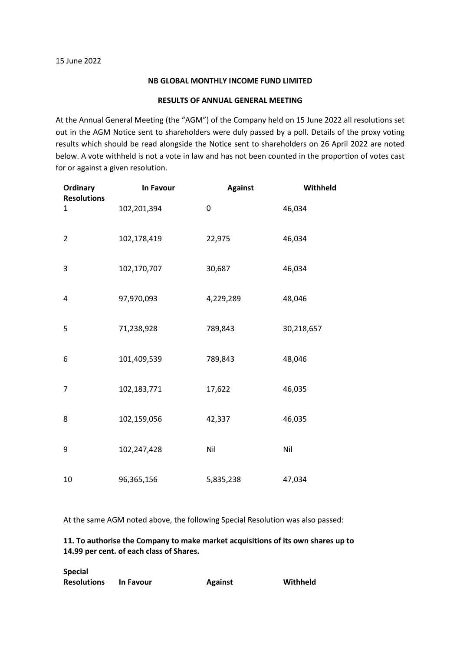## **NB GLOBAL MONTHLY INCOME FUND LIMITED**

## **RESULTS OF ANNUAL GENERAL MEETING**

At the Annual General Meeting (the "AGM") of the Company held on 15 June 2022 all resolutions set out in the AGM Notice sent to shareholders were duly passed by a poll. Details of the proxy voting results which should be read alongside the Notice sent to shareholders on 26 April 2022 are noted below. A vote withheld is not a vote in law and has not been counted in the proportion of votes cast for or against a given resolution.

| <b>Ordinary</b>         | In Favour   | <b>Against</b> | Withheld   |
|-------------------------|-------------|----------------|------------|
| <b>Resolutions</b><br>1 | 102,201,394 | 0              | 46,034     |
| $\overline{2}$          | 102,178,419 | 22,975         | 46,034     |
| 3                       | 102,170,707 | 30,687         | 46,034     |
| 4                       | 97,970,093  | 4,229,289      | 48,046     |
| 5                       | 71,238,928  | 789,843        | 30,218,657 |
| 6                       | 101,409,539 | 789,843        | 48,046     |
| 7                       | 102,183,771 | 17,622         | 46,035     |
| 8                       | 102,159,056 | 42,337         | 46,035     |
| 9                       | 102,247,428 | Nil            | Nil        |
| 10                      | 96,365,156  | 5,835,238      | 47,034     |

At the same AGM noted above, the following Special Resolution was also passed:

## **11. To authorise the Company to make market acquisitions of its own shares up to 14.99 per cent. of each class of Shares.**

| <b>Special</b>     |                  |                |          |
|--------------------|------------------|----------------|----------|
| <b>Resolutions</b> | <b>In Favour</b> | <b>Against</b> | Withheld |